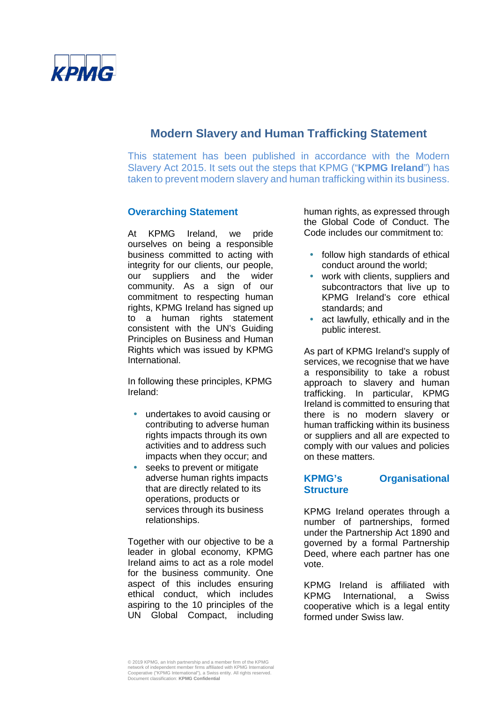

# **Modern Slavery and Human Trafficking Statement**

This statement has been published in accordance with the Modern Slavery Act 2015. It sets out the steps that KPMG ("**KPMG Ireland**") has taken to prevent modern slavery and human trafficking within its business.

### **Overarching Statement**

At KPMG Ireland, we pride ourselves on being a responsible business committed to acting with integrity for our clients, our people, our suppliers and the wider community. As a sign of our commitment to respecting human rights, KPMG Ireland has signed up to a human rights statement consistent with the UN's Guiding Principles on Business and Human Rights which was issued by KPMG International.

In following these principles, KPMG Ireland:

- undertakes to avoid causing or contributing to adverse human rights impacts through its own activities and to address such impacts when they occur; and
- seeks to prevent or mitigate adverse human rights impacts that are directly related to its operations, products or services through its business relationships.

Together with our objective to be a leader in global economy, KPMG Ireland aims to act as a role model for the business community. One aspect of this includes ensuring ethical conduct, which includes aspiring to the 10 principles of the UN Global Compact, including human rights, as expressed through the Global Code of Conduct. The Code includes our commitment to:

- follow high standards of ethical conduct around the world;
- work with clients, suppliers and subcontractors that live up to KPMG Ireland's core ethical standards; and
- act lawfully, ethically and in the public interest.

As part of KPMG Ireland's supply of services, we recognise that we have a responsibility to take a robust approach to slavery and human trafficking. In particular, KPMG Ireland is committed to ensuring that there is no modern slavery or human trafficking within its business or suppliers and all are expected to comply with our values and policies on these matters.

### **KPMG's Organisational Structure**

KPMG Ireland operates through a number of partnerships, formed under the Partnership Act 1890 and governed by a formal Partnership Deed, where each partner has one vote.

KPMG Ireland is affiliated with KPMG International, a Swiss cooperative which is a legal entity formed under Swiss law.

<sup>© 201</sup>9 KPMG, an Irish partnership and a member firm of the KPMG network of independent member firms affiliated with KPMG International Cooperative ("KPMG International"), a Swiss entity. All rights reserved. Document classification: **KPMG Confidential**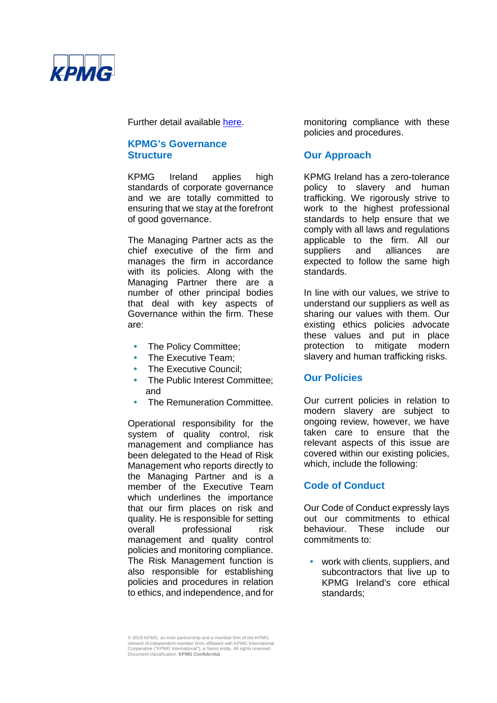

Further detail available [here.](https://home.kpmg/ie/en/home/insights/2019/03/transparency-report-2018.html)

### **KPMG's Governance Structure**

KPMG Ireland applies high standards of corporate governance and we are totally committed to ensuring that we stay at the forefront of good governance.

The Managing Partner acts as the chief executive of the firm and manages the firm in accordance with its policies. Along with the Managing Partner there are a number of other principal bodies that deal with key aspects of Governance within the firm. These are:

- The Policy Committee;
- The Executive Team;
- The Executive Council:
- The Public Interest Committee: and
- The Remuneration Committee.

Operational responsibility for the system of quality control, risk management and compliance has been delegated to the Head of Risk Management who reports directly to the Managing Partner and is a member of the Executive Team which underlines the importance that our firm places on risk and quality. He is responsible for setting overall professional risk management and quality control policies and monitoring compliance. The Risk Management function is also responsible for establishing policies and procedures in relation to ethics, and independence, and for

monitoring compliance with these policies and procedures.

# **Our Approach**

KPMG Ireland has a zero-tolerance policy to slavery and human trafficking. We rigorously strive to work to the highest professional standards to help ensure that we comply with all laws and regulations applicable to the firm. All our<br>suppliers and alliances are suppliers and alliances are expected to follow the same high standards.

In line with our values, we strive to understand our suppliers as well as sharing our values with them. Our existing ethics policies advocate these values and put in place protection to mitigate modern slavery and human trafficking risks.

# **Our Policies**

Our current policies in relation to modern slavery are subject to ongoing review, however, we have taken care to ensure that the relevant aspects of this issue are covered within our existing policies, which, include the following:

# **Code of Conduct**

Our Code of Conduct expressly lays out our commitments to ethical<br>behaviour. These include our These include our commitments to:

• work with clients, suppliers, and subcontractors that live up to KPMG Ireland's core ethical standards;

<sup>© 201</sup>9 KPMG, an Irish partnership and a member firm of the KPMG network of independent member firms affiliated with KPMG International Cooperative ("KPMG International"), a Swiss entity. All rights reserved. Document classification: **KPMG Confidential**